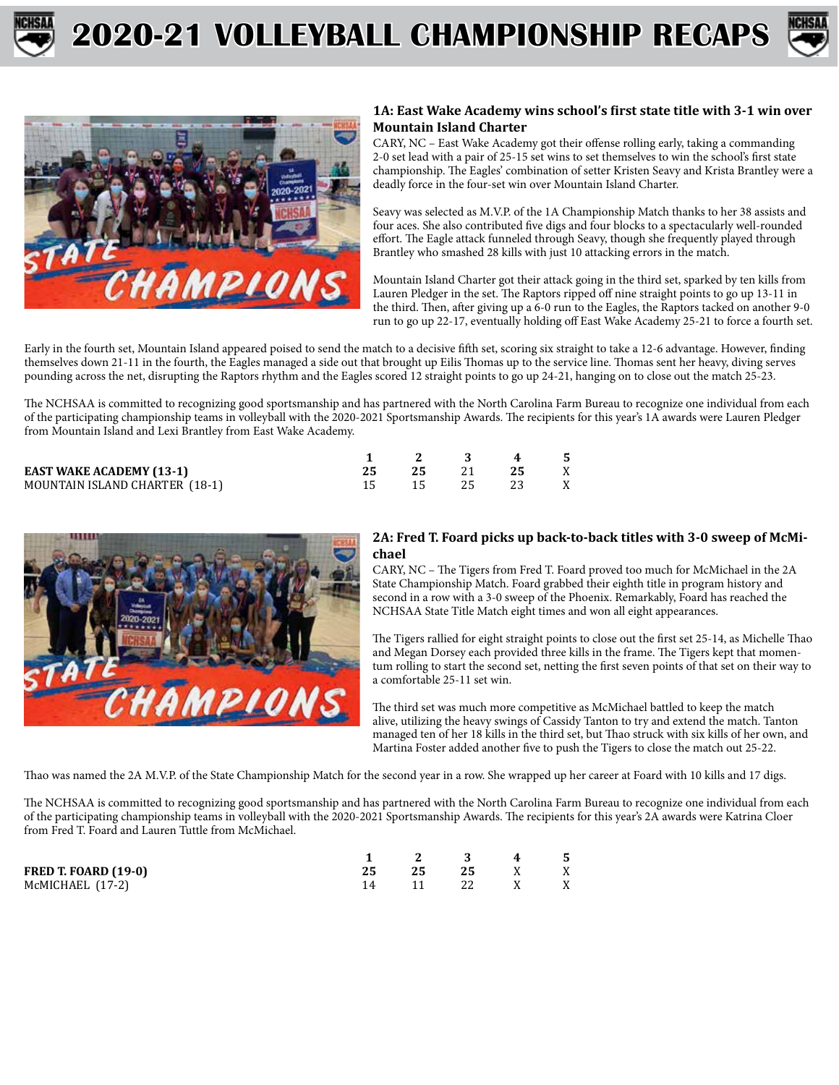





### **1A: East Wake Academy wins school's first state title with 3-1 win over Mountain Island Charter**

CARY, NC – East Wake Academy got their offense rolling early, taking a commanding 2-0 set lead with a pair of 25-15 set wins to set themselves to win the school's first state championship. The Eagles' combination of setter Kristen Seavy and Krista Brantley were a deadly force in the four-set win over Mountain Island Charter.

Seavy was selected as M.V.P. of the 1A Championship Match thanks to her 38 assists and four aces. She also contributed five digs and four blocks to a spectacularly well-rounded effort. The Eagle attack funneled through Seavy, though she frequently played through Brantley who smashed 28 kills with just 10 attacking errors in the match.

Mountain Island Charter got their attack going in the third set, sparked by ten kills from Lauren Pledger in the set. The Raptors ripped off nine straight points to go up 13-11 in the third. Then, after giving up a 6-0 run to the Eagles, the Raptors tacked on another 9-0 run to go up 22-17, eventually holding off East Wake Academy 25-21 to force a fourth set.

Early in the fourth set, Mountain Island appeared poised to send the match to a decisive fifth set, scoring six straight to take a 12-6 advantage. However, finding themselves down 21-11 in the fourth, the Eagles managed a side out that brought up Eilis Thomas up to the service line. Thomas sent her heavy, diving serves pounding across the net, disrupting the Raptors rhythm and the Eagles scored 12 straight points to go up 24-21, hanging on to close out the match 25-23.

The NCHSAA is committed to recognizing good sportsmanship and has partnered with the North Carolina Farm Bureau to recognize one individual from each of the participating championship teams in volleyball with the 2020-2021 Sportsmanship Awards. The recipients for this year's 1A awards were Lauren Pledger from Mountain Island and Lexi Brantley from East Wake Academy.

|                                 | 2 3 4  |      |      | - 5 |
|---------------------------------|--------|------|------|-----|
| <b>EAST WAKE ACADEMY (13-1)</b> | 25     |      | -25  | X   |
| MOUNTAIN ISLAND CHARTER (18-1)  | - 15 - | 25 3 | -23- | X X |



#### **2A: Fred T. Foard picks up back-to-back titles with 3-0 sweep of McMichael**

CARY, NC – The Tigers from Fred T. Foard proved too much for McMichael in the 2A State Championship Match. Foard grabbed their eighth title in program history and second in a row with a 3-0 sweep of the Phoenix. Remarkably, Foard has reached the NCHSAA State Title Match eight times and won all eight appearances.

The Tigers rallied for eight straight points to close out the first set 25-14, as Michelle Thao and Megan Dorsey each provided three kills in the frame. The Tigers kept that momentum rolling to start the second set, netting the first seven points of that set on their way to a comfortable 25-11 set win.

The third set was much more competitive as McMichael battled to keep the match alive, utilizing the heavy swings of Cassidy Tanton to try and extend the match. Tanton managed ten of her 18 kills in the third set, but Thao struck with six kills of her own, and Martina Foster added another five to push the Tigers to close the match out 25-22.

Thao was named the 2A M.V.P. of the State Championship Match for the second year in a row. She wrapped up her career at Foard with 10 kills and 17 digs.

The NCHSAA is committed to recognizing good sportsmanship and has partnered with the North Carolina Farm Bureau to recognize one individual from each of the participating championship teams in volleyball with the 2020-2021 Sportsmanship Awards. The recipients for this year's 2A awards were Katrina Cloer from Fred T. Foard and Lauren Tuttle from McMichael.

|                      |     |    | $\mathbf{A}$ | -5           |
|----------------------|-----|----|--------------|--------------|
| FRED T. FOARD (19-0) | -25 | 25 |              | $\mathbf{X}$ |
| McMICHAEL (17-2)     |     |    |              | X            |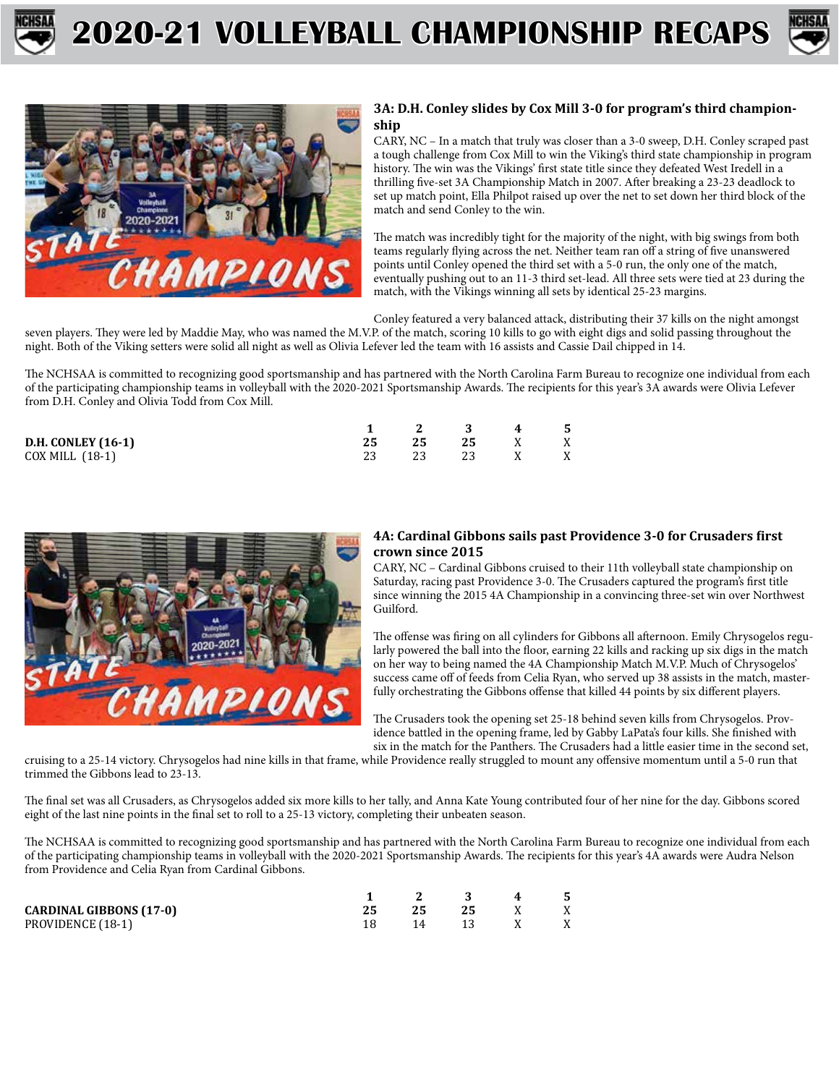





### **3A: D.H. Conley slides by Cox Mill 3-0 for program's third championship**

CARY, NC – In a match that truly was closer than a 3-0 sweep, D.H. Conley scraped past a tough challenge from Cox Mill to win the Viking's third state championship in program history. The win was the Vikings' first state title since they defeated West Iredell in a thrilling five-set 3A Championship Match in 2007. After breaking a 23-23 deadlock to set up match point, Ella Philpot raised up over the net to set down her third block of the match and send Conley to the win.

The match was incredibly tight for the majority of the night, with big swings from both teams regularly flying across the net. Neither team ran off a string of five unanswered points until Conley opened the third set with a 5-0 run, the only one of the match, eventually pushing out to an 11-3 third set-lead. All three sets were tied at 23 during the match, with the Vikings winning all sets by identical 25-23 margins.

Conley featured a very balanced attack, distributing their 37 kills on the night amongst seven players. They were led by Maddie May, who was named the M.V.P. of the match, scoring 10 kills to go with eight digs and solid passing throughout the night. Both of the Viking setters were solid all night as well as Olivia Lefever led the team with 16 assists and Cassie Dail chipped in 14.

The NCHSAA is committed to recognizing good sportsmanship and has partnered with the North Carolina Farm Bureau to recognize one individual from each of the participating championship teams in volleyball with the 2020-2021 Sportsmanship Awards. The recipients for this year's 3A awards were Olivia Lefever from D.H. Conley and Olivia Todd from Cox Mill.

|                           |    |    | 2 3 4  |     | - 5 |
|---------------------------|----|----|--------|-----|-----|
| <b>D.H. CONLEY (16-1)</b> | 25 | 25 | 25 X X |     |     |
| COX MILL (18-1)           |    | 23 | 23     | X X |     |



### **4A: Cardinal Gibbons sails past Providence 3-0 for Crusaders first crown since 2015**

CARY, NC – Cardinal Gibbons cruised to their 11th volleyball state championship on Saturday, racing past Providence 3-0. The Crusaders captured the program's first title since winning the 2015 4A Championship in a convincing three-set win over Northwest Guilford.

The offense was firing on all cylinders for Gibbons all afternoon. Emily Chrysogelos regularly powered the ball into the floor, earning 22 kills and racking up six digs in the match on her way to being named the 4A Championship Match M.V.P. Much of Chrysogelos' success came off of feeds from Celia Ryan, who served up 38 assists in the match, masterfully orchestrating the Gibbons offense that killed 44 points by six different players.

The Crusaders took the opening set 25-18 behind seven kills from Chrysogelos. Providence battled in the opening frame, led by Gabby LaPata's four kills. She finished with six in the match for the Panthers. The Crusaders had a little easier time in the second set,

cruising to a 25-14 victory. Chrysogelos had nine kills in that frame, while Providence really struggled to mount any offensive momentum until a 5-0 run that trimmed the Gibbons lead to 23-13.

The final set was all Crusaders, as Chrysogelos added six more kills to her tally, and Anna Kate Young contributed four of her nine for the day. Gibbons scored eight of the last nine points in the final set to roll to a 25-13 victory, completing their unbeaten season.

The NCHSAA is committed to recognizing good sportsmanship and has partnered with the North Carolina Farm Bureau to recognize one individual from each of the participating championship teams in volleyball with the 2020-2021 Sportsmanship Awards. The recipients for this year's 4A awards were Audra Nelson from Providence and Celia Ryan from Cardinal Gibbons.

|                                |    | - 3-    | 4 5 |  |
|--------------------------------|----|---------|-----|--|
| <b>CARDINAL GIBBONS (17-0)</b> | 25 | 25      |     |  |
| PROVIDENCE (18-1)              |    | 14 13 X |     |  |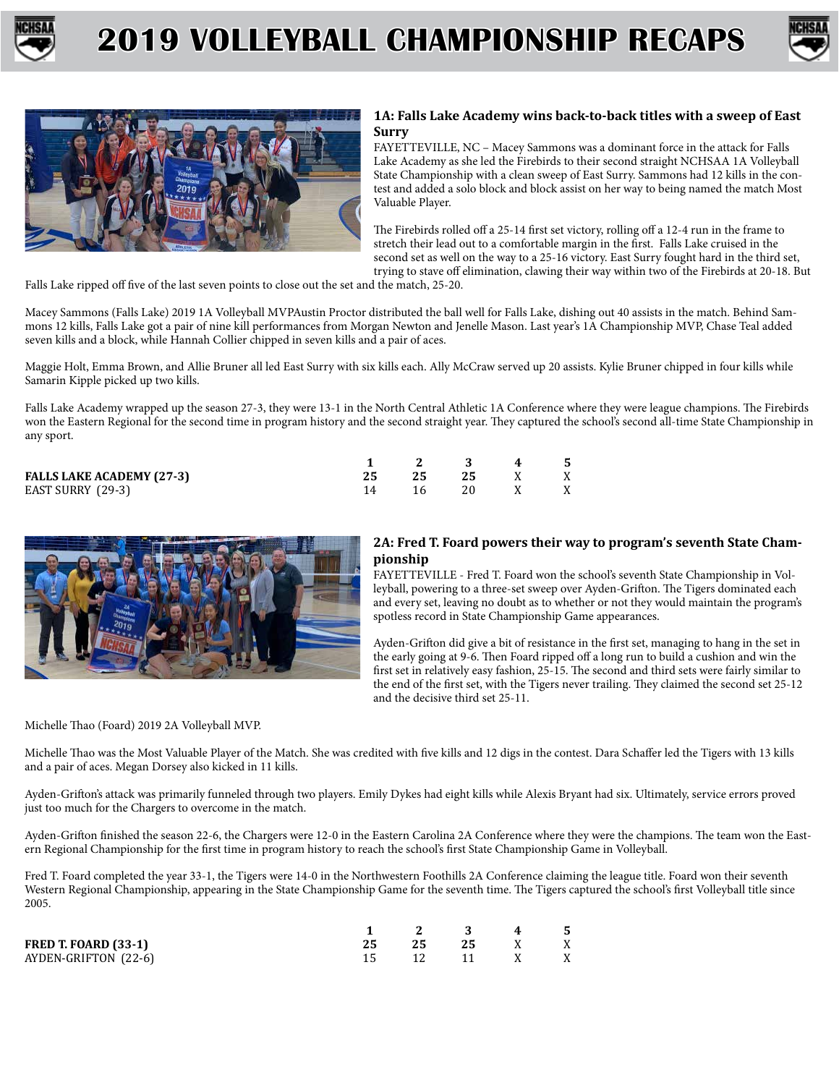





#### **1A: Falls Lake Academy wins back-to-back titles with a sweep of East Surry**

FAYETTEVILLE, NC – Macey Sammons was a dominant force in the attack for Falls Lake Academy as she led the Firebirds to their second straight NCHSAA 1A Volleyball State Championship with a clean sweep of East Surry. Sammons had 12 kills in the contest and added a solo block and block assist on her way to being named the match Most Valuable Player.

The Firebirds rolled off a 25-14 first set victory, rolling off a 12-4 run in the frame to stretch their lead out to a comfortable margin in the first. Falls Lake cruised in the second set as well on the way to a 25-16 victory. East Surry fought hard in the third set, trying to stave off elimination, clawing their way within two of the Firebirds at 20-18. But

Falls Lake ripped off five of the last seven points to close out the set and the match, 25-20.

Macey Sammons (Falls Lake) 2019 1A Volleyball MVPAustin Proctor distributed the ball well for Falls Lake, dishing out 40 assists in the match. Behind Sammons 12 kills, Falls Lake got a pair of nine kill performances from Morgan Newton and Jenelle Mason. Last year's 1A Championship MVP, Chase Teal added seven kills and a block, while Hannah Collier chipped in seven kills and a pair of aces.

Maggie Holt, Emma Brown, and Allie Bruner all led East Surry with six kills each. Ally McCraw served up 20 assists. Kylie Bruner chipped in four kills while Samarin Kipple picked up two kills.

Falls Lake Academy wrapped up the season 27-3, they were 13-1 in the North Central Athletic 1A Conference where they were league champions. The Firebirds won the Eastern Regional for the second time in program history and the second straight year. They captured the school's second all-time State Championship in any sport.

|                                  |  | 1 2 3 4   | - 5 |
|----------------------------------|--|-----------|-----|
| <b>FALLS LAKE ACADEMY (27-3)</b> |  | 25 25 X X |     |
| EAST SURRY (29-3)                |  | 16 20 X X |     |



#### **2A: Fred T. Foard powers their way to program's seventh State Championship**

FAYETTEVILLE - Fred T. Foard won the school's seventh State Championship in Volleyball, powering to a three-set sweep over Ayden-Grifton. The Tigers dominated each and every set, leaving no doubt as to whether or not they would maintain the program's spotless record in State Championship Game appearances.

Ayden-Grifton did give a bit of resistance in the first set, managing to hang in the set in the early going at 9-6. Then Foard ripped off a long run to build a cushion and win the first set in relatively easy fashion, 25-15. The second and third sets were fairly similar to the end of the first set, with the Tigers never trailing. They claimed the second set 25-12 and the decisive third set 25-11.

Michelle Thao (Foard) 2019 2A Volleyball MVP.

Michelle Thao was the Most Valuable Player of the Match. She was credited with five kills and 12 digs in the contest. Dara Schaffer led the Tigers with 13 kills and a pair of aces. Megan Dorsey also kicked in 11 kills.

Ayden-Grifton's attack was primarily funneled through two players. Emily Dykes had eight kills while Alexis Bryant had six. Ultimately, service errors proved just too much for the Chargers to overcome in the match.

Ayden-Grifton finished the season 22-6, the Chargers were 12-0 in the Eastern Carolina 2A Conference where they were the champions. The team won the Eastern Regional Championship for the first time in program history to reach the school's first State Championship Game in Volleyball.

Fred T. Foard completed the year 33-1, the Tigers were 14-0 in the Northwestern Foothills 2A Conference claiming the league title. Foard won their seventh Western Regional Championship, appearing in the State Championship Game for the seventh time. The Tigers captured the school's first Volleyball title since 2005.

|                             |  | 1 2 3 4 5    |  |
|-----------------------------|--|--------------|--|
| <b>FRED T. FOARD (33-1)</b> |  | 25 25 25 X X |  |
| AYDEN-GRIFTON (22-6)        |  | 12 11 X X    |  |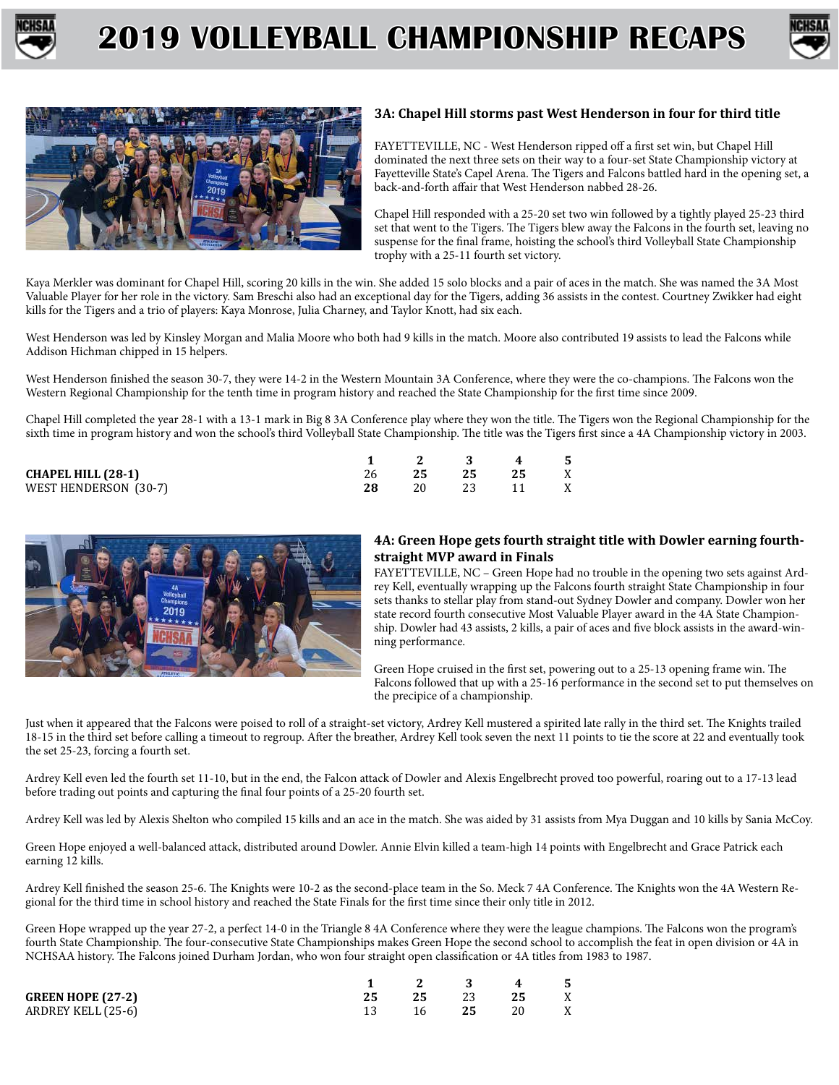





### **3A: Chapel Hill storms past West Henderson in four for third title**

FAYETTEVILLE, NC - West Henderson ripped off a first set win, but Chapel Hill dominated the next three sets on their way to a four-set State Championship victory at Fayetteville State's Capel Arena. The Tigers and Falcons battled hard in the opening set, a back-and-forth affair that West Henderson nabbed 28-26.

Chapel Hill responded with a 25-20 set two win followed by a tightly played 25-23 third set that went to the Tigers. The Tigers blew away the Falcons in the fourth set, leaving no suspense for the final frame, hoisting the school's third Volleyball State Championship trophy with a 25-11 fourth set victory.

Kaya Merkler was dominant for Chapel Hill, scoring 20 kills in the win. She added 15 solo blocks and a pair of aces in the match. She was named the 3A Most Valuable Player for her role in the victory. Sam Breschi also had an exceptional day for the Tigers, adding 36 assists in the contest. Courtney Zwikker had eight kills for the Tigers and a trio of players: Kaya Monrose, Julia Charney, and Taylor Knott, had six each.

West Henderson was led by Kinsley Morgan and Malia Moore who both had 9 kills in the match. Moore also contributed 19 assists to lead the Falcons while Addison Hichman chipped in 15 helpers.

West Henderson finished the season 30-7, they were 14-2 in the Western Mountain 3A Conference, where they were the co-champions. The Falcons won the Western Regional Championship for the tenth time in program history and reached the State Championship for the first time since 2009.

Chapel Hill completed the year 28-1 with a 13-1 mark in Big 8 3A Conference play where they won the title. The Tigers won the Regional Championship for the sixth time in program history and won the school's third Volleyball State Championship. The title was the Tigers first since a 4A Championship victory in 2003.

|                           |     |      | 4  | - 5 |
|---------------------------|-----|------|----|-----|
| <b>CHAPEL HILL (28-1)</b> | -25 | - 25 | 25 | X   |
| WEST HENDERSON (30-7)     |     |      |    | X   |



#### **4A: Green Hope gets fourth straight title with Dowler earning fourthstraight MVP award in Finals**

FAYETTEVILLE, NC – Green Hope had no trouble in the opening two sets against Ardrey Kell, eventually wrapping up the Falcons fourth straight State Championship in four sets thanks to stellar play from stand-out Sydney Dowler and company. Dowler won her state record fourth consecutive Most Valuable Player award in the 4A State Championship. Dowler had 43 assists, 2 kills, a pair of aces and five block assists in the award-winning performance.

Green Hope cruised in the first set, powering out to a 25-13 opening frame win. The Falcons followed that up with a 25-16 performance in the second set to put themselves on the precipice of a championship.

Just when it appeared that the Falcons were poised to roll of a straight-set victory, Ardrey Kell mustered a spirited late rally in the third set. The Knights trailed 18-15 in the third set before calling a timeout to regroup. After the breather, Ardrey Kell took seven the next 11 points to tie the score at 22 and eventually took the set 25-23, forcing a fourth set.

Ardrey Kell even led the fourth set 11-10, but in the end, the Falcon attack of Dowler and Alexis Engelbrecht proved too powerful, roaring out to a 17-13 lead before trading out points and capturing the final four points of a 25-20 fourth set.

Ardrey Kell was led by Alexis Shelton who compiled 15 kills and an ace in the match. She was aided by 31 assists from Mya Duggan and 10 kills by Sania McCoy.

Green Hope enjoyed a well-balanced attack, distributed around Dowler. Annie Elvin killed a team-high 14 points with Engelbrecht and Grace Patrick each earning 12 kills.

Ardrey Kell finished the season 25-6. The Knights were 10-2 as the second-place team in the So. Meck 7 4A Conference. The Knights won the 4A Western Regional for the third time in school history and reached the State Finals for the first time since their only title in 2012.

Green Hope wrapped up the year 27-2, a perfect 14-0 in the Triangle 8 4A Conference where they were the league champions. The Falcons won the program's fourth State Championship. The four-consecutive State Championships makes Green Hope the second school to accomplish the feat in open division or 4A in NCHSAA history. The Falcons joined Durham Jordan, who won four straight open classification or 4A titles from 1983 to 1987.

|                          |  | 1 2 3 4 5            |  |
|--------------------------|--|----------------------|--|
| <b>GREEN HOPE (27-2)</b> |  | 25 25 23 25 X        |  |
| ARDREY KELL (25-6)       |  | 13 16 <b>25</b> 20 X |  |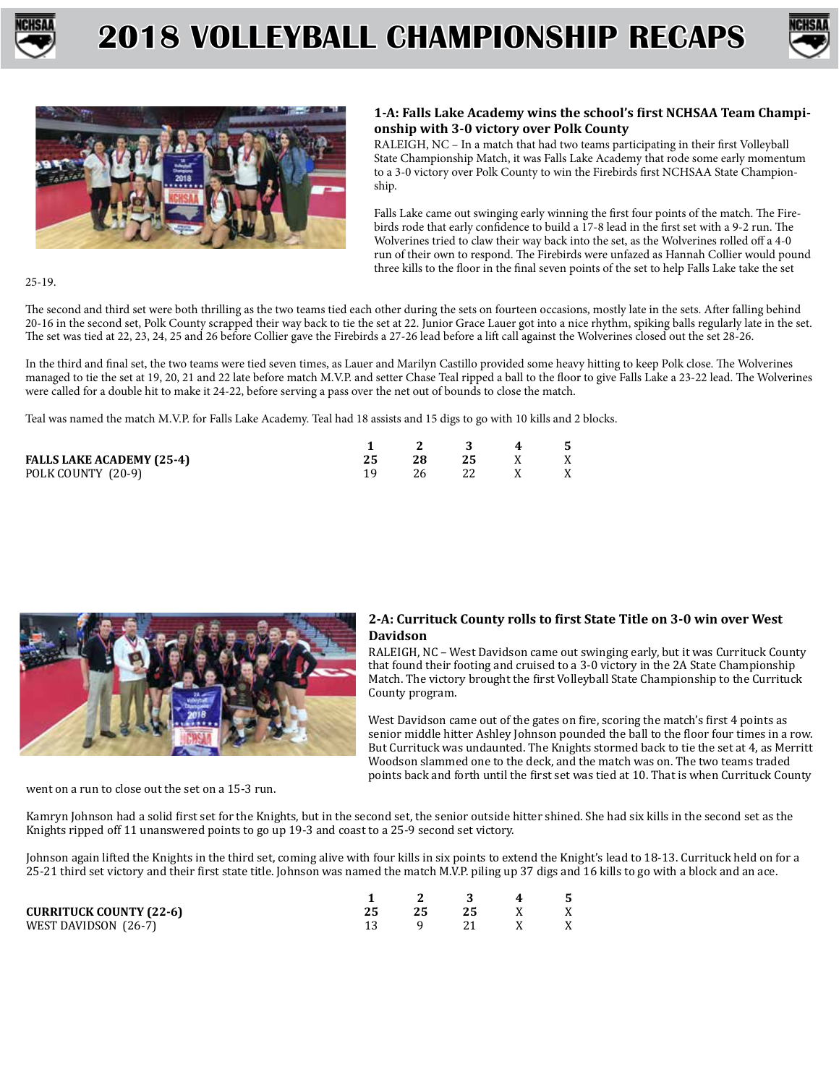





### **1-A: Falls Lake Academy wins the school's first NCHSAA Team Championship with 3-0 victory over Polk County**

RALEIGH, NC – In a match that had two teams participating in their first Volleyball State Championship Match, it was Falls Lake Academy that rode some early momentum to a 3-0 victory over Polk County to win the Firebirds first NCHSAA State Championship.

Falls Lake came out swinging early winning the first four points of the match. The Firebirds rode that early confidence to build a 17-8 lead in the first set with a 9-2 run. The Wolverines tried to claw their way back into the set, as the Wolverines rolled off a 4-0 run of their own to respond. The Firebirds were unfazed as Hannah Collier would pound three kills to the floor in the final seven points of the set to help Falls Lake take the set

25-19.

The second and third set were both thrilling as the two teams tied each other during the sets on fourteen occasions, mostly late in the sets. After falling behind 20-16 in the second set, Polk County scrapped their way back to tie the set at 22. Junior Grace Lauer got into a nice rhythm, spiking balls regularly late in the set. The set was tied at 22, 23, 24, 25 and 26 before Collier gave the Firebirds a 27-26 lead before a lift call against the Wolverines closed out the set 28-26.

In the third and final set, the two teams were tied seven times, as Lauer and Marilyn Castillo provided some heavy hitting to keep Polk close. The Wolverines managed to tie the set at 19, 20, 21 and 22 late before match M.V.P. and setter Chase Teal ripped a ball to the floor to give Falls Lake a 23-22 lead. The Wolverines were called for a double hit to make it 24-22, before serving a pass over the net out of bounds to close the match.

Teal was named the match M.V.P. for Falls Lake Academy. Teal had 18 assists and 15 digs to go with 10 kills and 2 blocks.

|                                  | 1 2 3 4 5 |           |  |
|----------------------------------|-----------|-----------|--|
| <b>FALLS LAKE ACADEMY (25-4)</b> |           | 28 25 X X |  |
| POLK COUNTY (20-9)               |           | 26 22 X X |  |



#### **2-A: Currituck County rolls to first State Title on 3-0 win over West Davidson**

RALEIGH, NC – West Davidson came out swinging early, but it was Currituck County that found their footing and cruised to a 3-0 victory in the 2A State Championship Match. The victory brought the first Volleyball State Championship to the Currituck County program.

West Davidson came out of the gates on fire, scoring the match's first 4 points as senior middle hitter Ashley Johnson pounded the ball to the floor four times in a row. But Currituck was undaunted. The Knights stormed back to tie the set at 4, as Merritt Woodson slammed one to the deck, and the match was on. The two teams traded points back and forth until the first set was tied at 10. That is when Currituck County

went on a run to close out the set on a 15-3 run.

Kamryn Johnson had a solid first set for the Knights, but in the second set, the senior outside hitter shined. She had six kills in the second set as the Knights ripped off 11 unanswered points to go up 19-3 and coast to a 25-9 second set victory.

Johnson again lifted the Knights in the third set, coming alive with four kills in six points to extend the Knight's lead to 18-13. Currituck held on for a 25-21 third set victory and their first state title. Johnson was named the match M.V.P. piling up 37 digs and 16 kills to go with a block and an ace.

|                                |  | $\mathbf{R}$ and $\mathbf{R}$ | 4 |   |
|--------------------------------|--|-------------------------------|---|---|
| <b>CURRITUCK COUNTY (22-6)</b> |  | - 25                          |   | X |
| WEST DAVIDSON (26-7)           |  |                               |   | X |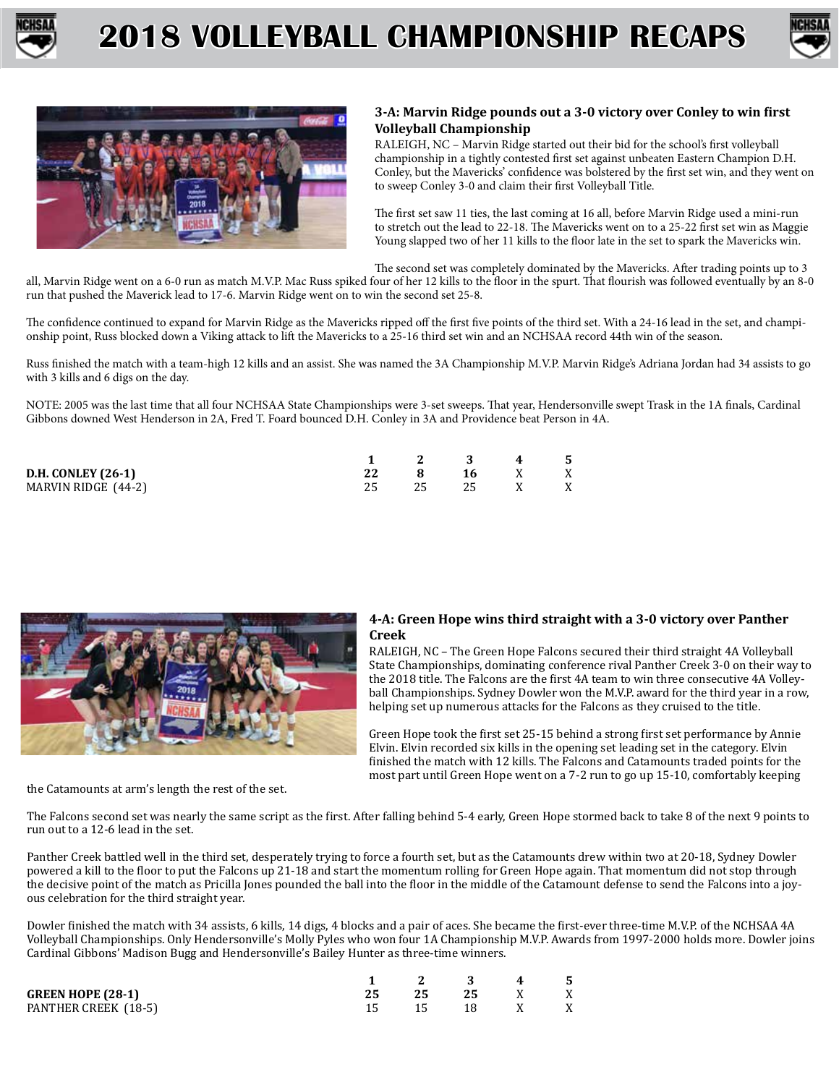





### **3-A: Marvin Ridge pounds out a 3-0 victory over Conley to win first Volleyball Championship**

RALEIGH, NC – Marvin Ridge started out their bid for the school's first volleyball championship in a tightly contested first set against unbeaten Eastern Champion D.H. Conley, but the Mavericks' confidence was bolstered by the first set win, and they went on to sweep Conley 3-0 and claim their first Volleyball Title.

The first set saw 11 ties, the last coming at 16 all, before Marvin Ridge used a mini-run to stretch out the lead to 22-18. The Mavericks went on to a 25-22 first set win as Maggie Young slapped two of her 11 kills to the floor late in the set to spark the Mavericks win.

The second set was completely dominated by the Mavericks. After trading points up to 3

all, Marvin Ridge went on a 6-0 run as match M.V.P. Mac Russ spiked four of her 12 kills to the floor in the spurt. That flourish was followed eventually by an 8-0 run that pushed the Maverick lead to 17-6. Marvin Ridge went on to win the second set 25-8.

The confidence continued to expand for Marvin Ridge as the Mavericks ripped off the first five points of the third set. With a 24-16 lead in the set, and championship point, Russ blocked down a Viking attack to lift the Mavericks to a 25-16 third set win and an NCHSAA record 44th win of the season.

Russ finished the match with a team-high 12 kills and an assist. She was named the 3A Championship M.V.P. Marvin Ridge's Adriana Jordan had 34 assists to go with 3 kills and 6 digs on the day.

NOTE: 2005 was the last time that all four NCHSAA State Championships were 3-set sweeps. That year, Hendersonville swept Trask in the 1A finals, Cardinal Gibbons downed West Henderson in 2A, Fred T. Foard bounced D.H. Conley in 3A and Providence beat Person in 4A.

|                           |    |      | $\overline{4}$ | - 5 |
|---------------------------|----|------|----------------|-----|
| <b>D.H. CONLEY (26-1)</b> |    | 16 I |                | X   |
| MARVIN RIDGE (44-2)       | 25 |      |                | X   |



#### **4-A: Green Hope wins third straight with a 3-0 victory over Panther Creek**

RALEIGH, NC – The Green Hope Falcons secured their third straight 4A Volleyball State Championships, dominating conference rival Panther Creek 3-0 on their way to the 2018 title. The Falcons are the first 4A team to win three consecutive 4A Volleyball Championships. Sydney Dowler won the M.V.P. award for the third year in a row, helping set up numerous attacks for the Falcons as they cruised to the title.

Green Hope took the first set 25-15 behind a strong first set performance by Annie Elvin. Elvin recorded six kills in the opening set leading set in the category. Elvin finished the match with 12 kills. The Falcons and Catamounts traded points for the most part until Green Hope went on a 7-2 run to go up 15-10, comfortably keeping

the Catamounts at arm's length the rest of the set.

The Falcons second set was nearly the same script as the first. After falling behind 5-4 early, Green Hope stormed back to take 8 of the next 9 points to run out to a 12-6 lead in the set.

Panther Creek battled well in the third set, desperately trying to force a fourth set, but as the Catamounts drew within two at 20-18, Sydney Dowler powered a kill to the floor to put the Falcons up 21-18 and start the momentum rolling for Green Hope again. That momentum did not stop through the decisive point of the match as Pricilla Jones pounded the ball into the floor in the middle of the Catamount defense to send the Falcons into a joyous celebration for the third straight year.

Dowler finished the match with 34 assists, 6 kills, 14 digs, 4 blocks and a pair of aces. She became the first-ever three-time M.V.P. of the NCHSAA 4A Volleyball Championships. Only Hendersonville's Molly Pyles who won four 1A Championship M.V.P. Awards from 1997-2000 holds more. Dowler joins Cardinal Gibbons' Madison Bugg and Hendersonville's Bailey Hunter as three-time winners.

|                      |       | 1 2 3 4 5 |  |
|----------------------|-------|-----------|--|
| GREEN HOPE (28-1)    |       | 25 25 X X |  |
| PANTHER CREEK (18-5) | 15 15 | 18 X X    |  |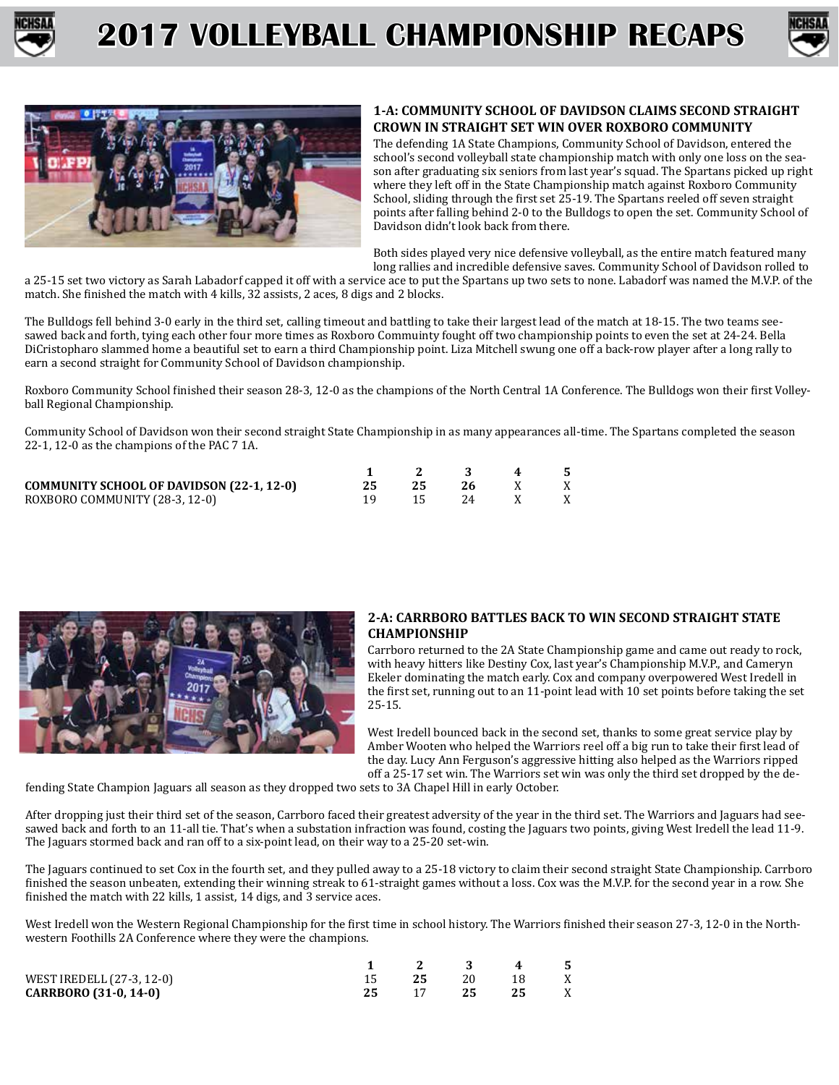





### **1-A: COMMUNITY SCHOOL OF DAVIDSON CLAIMS SECOND STRAIGHT CROWN IN STRAIGHT SET WIN OVER ROXBORO COMMUNITY**

The defending 1A State Champions, Community School of Davidson, entered the school's second volleyball state championship match with only one loss on the season after graduating six seniors from last year's squad. The Spartans picked up right where they left off in the State Championship match against Roxboro Community School, sliding through the first set 25-19. The Spartans reeled off seven straight points after falling behind 2-0 to the Bulldogs to open the set. Community School of Davidson didn't look back from there.

Both sides played very nice defensive volleyball, as the entire match featured many long rallies and incredible defensive saves. Community School of Davidson rolled to

a 25-15 set two victory as Sarah Labadorf capped it off with a service ace to put the Spartans up two sets to none. Labadorf was named the M.V.P. of the match. She finished the match with 4 kills, 32 assists, 2 aces, 8 digs and 2 blocks.

The Bulldogs fell behind 3-0 early in the third set, calling timeout and battling to take their largest lead of the match at 18-15. The two teams seesawed back and forth, tying each other four more times as Roxboro Commuinty fought off two championship points to even the set at 24-24. Bella DiCristopharo slammed home a beautiful set to earn a third Championship point. Liza Mitchell swung one off a back-row player after a long rally to earn a second straight for Community School of Davidson championship.

Roxboro Community School finished their season 28-3, 12-0 as the champions of the North Central 1A Conference. The Bulldogs won their first Volleyball Regional Championship.

Community School of Davidson won their second straight State Championship in as many appearances all-time. The Spartans completed the season 22-1, 12-0 as the champions of the PAC 7 1A.

|                                                  |    | 2 3 4 5   |  |
|--------------------------------------------------|----|-----------|--|
| <b>COMMUNITY SCHOOL OF DAVIDSON (22-1, 12-0)</b> | 25 | 26 X      |  |
| ROXBORO COMMUNITY (28-3, 12-0)                   |    | 15 24 X X |  |



#### **2-A: CARRBORO BATTLES BACK TO WIN SECOND STRAIGHT STATE CHAMPIONSHIP**

Carrboro returned to the 2A State Championship game and came out ready to rock, with heavy hitters like Destiny Cox, last year's Championship M.V.P., and Cameryn Ekeler dominating the match early. Cox and company overpowered West Iredell in the first set, running out to an 11-point lead with 10 set points before taking the set 25-15.

West Iredell bounced back in the second set, thanks to some great service play by Amber Wooten who helped the Warriors reel off a big run to take their first lead of the day. Lucy Ann Ferguson's aggressive hitting also helped as the Warriors ripped off a 25-17 set win. The Warriors set win was only the third set dropped by the de-

fending State Champion Jaguars all season as they dropped two sets to 3A Chapel Hill in early October.

After dropping just their third set of the season, Carrboro faced their greatest adversity of the year in the third set. The Warriors and Jaguars had seesawed back and forth to an 11-all tie. That's when a substation infraction was found, costing the Jaguars two points, giving West Iredell the lead 11-9. The Jaguars stormed back and ran off to a six-point lead, on their way to a 25-20 set-win.

The Jaguars continued to set Cox in the fourth set, and they pulled away to a 25-18 victory to claim their second straight State Championship. Carrboro finished the season unbeaten, extending their winning streak to 61-straight games without a loss. Cox was the M.V.P. for the second year in a row. She finished the match with 22 kills, 1 assist, 14 digs, and 3 service aces.

West Iredell won the Western Regional Championship for the first time in school history. The Warriors finished their season 27-3, 12-0 in the Northwestern Foothills 2A Conference where they were the champions.

|                           |    |    | 3 4 5 |   |
|---------------------------|----|----|-------|---|
| WEST IREDELL (27-3, 12-0) | 25 |    | 20 18 | X |
| CARRBORO (31-0, 14-0)     |    | 25 | 25    | X |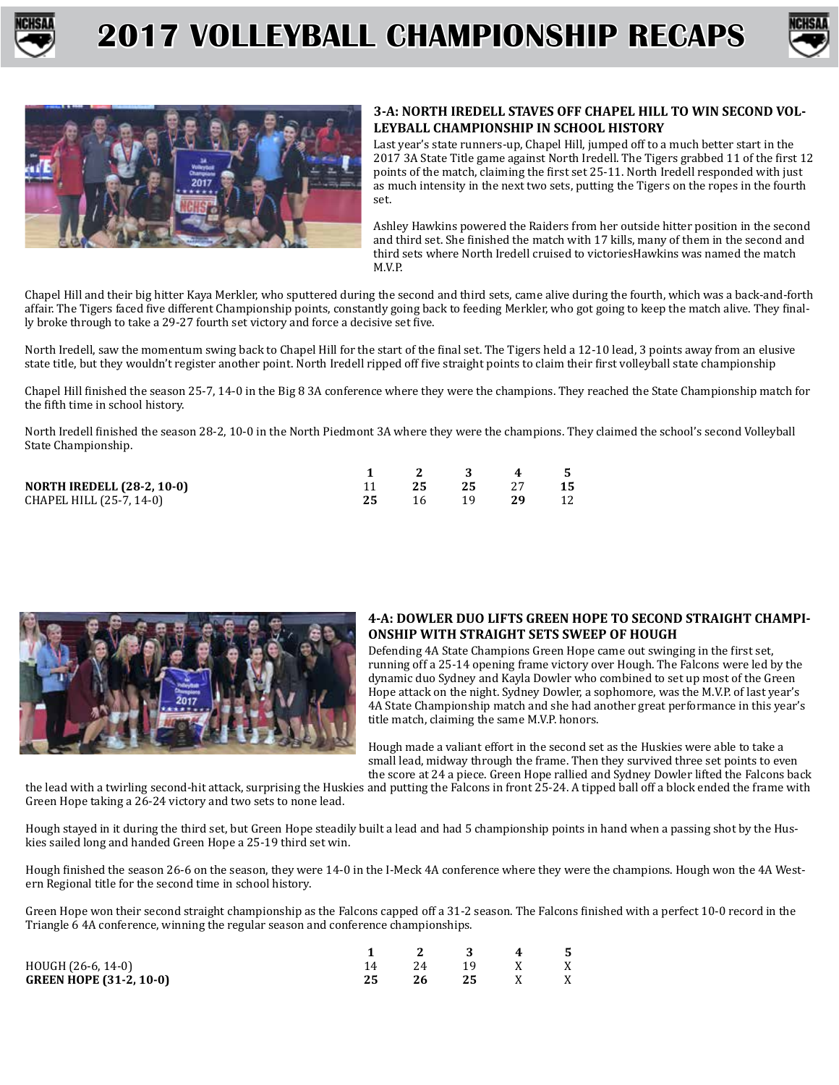





### **3-A: NORTH IREDELL STAVES OFF CHAPEL HILL TO WIN SECOND VOL-LEYBALL CHAMPIONSHIP IN SCHOOL HISTORY**

Last year's state runners-up, Chapel Hill, jumped off to a much better start in the 2017 3A State Title game against North Iredell. The Tigers grabbed 11 of the first 12 points of the match, claiming the first set 25-11. North Iredell responded with just as much intensity in the next two sets, putting the Tigers on the ropes in the fourth set.

Ashley Hawkins powered the Raiders from her outside hitter position in the second and third set. She finished the match with 17 kills, many of them in the second and third sets where North Iredell cruised to victoriesHawkins was named the match M.V.P.

Chapel Hill and their big hitter Kaya Merkler, who sputtered during the second and third sets, came alive during the fourth, which was a back-and-forth affair. The Tigers faced five different Championship points, constantly going back to feeding Merkler, who got going to keep the match alive. They finally broke through to take a 29-27 fourth set victory and force a decisive set five.

North Iredell, saw the momentum swing back to Chapel Hill for the start of the final set. The Tigers held a 12-10 lead, 3 points away from an elusive state title, but they wouldn't register another point. North Iredell ripped off five straight points to claim their first volleyball state championship

Chapel Hill finished the season 25-7, 14-0 in the Big 8 3A conference where they were the champions. They reached the State Championship match for the fifth time in school history.

North Iredell finished the season 28-2, 10-0 in the North Piedmont 3A where they were the champions. They claimed the school's second Volleyball State Championship.

|                                   | $1 \quad 2 \quad 3 \quad 4 \quad 5$ |             |      |
|-----------------------------------|-------------------------------------|-------------|------|
| <b>NORTH IREDELL (28-2, 10-0)</b> | 25 25 27                            |             | - 15 |
| CHAPEL HILL (25-7, 14-0)          |                                     | 16 19 29 12 |      |



### **4-A: DOWLER DUO LIFTS GREEN HOPE TO SECOND STRAIGHT CHAMPI-ONSHIP WITH STRAIGHT SETS SWEEP OF HOUGH**

Defending 4A State Champions Green Hope came out swinging in the first set, running off a 25-14 opening frame victory over Hough. The Falcons were led by the dynamic duo Sydney and Kayla Dowler who combined to set up most of the Green Hope attack on the night. Sydney Dowler, a sophomore, was the M.V.P. of last year's 4A State Championship match and she had another great performance in this year's title match, claiming the same M.V.P. honors.

Hough made a valiant effort in the second set as the Huskies were able to take a small lead, midway through the frame. Then they survived three set points to even the score at 24 a piece. Green Hope rallied and Sydney Dowler lifted the Falcons back

the lead with a twirling second-hit attack, surprising the Huskies and putting the Falcons in front 25-24. A tipped ball off a block ended the frame with Green Hope taking a 26-24 victory and two sets to none lead.

Hough stayed in it during the third set, but Green Hope steadily built a lead and had 5 championship points in hand when a passing shot by the Huskies sailed long and handed Green Hope a 25-19 third set win.

Hough finished the season 26-6 on the season, they were 14-0 in the I-Meck 4A conference where they were the champions. Hough won the 4A Western Regional title for the second time in school history.

Green Hope won their second straight championship as the Falcons capped off a 31-2 season. The Falcons finished with a perfect 10-0 record in the Triangle 6 4A conference, winning the regular season and conference championships.

|                                |     | 3 4    | - 5 |
|--------------------------------|-----|--------|-----|
| HOUGH (26-6, 14-0)             | 2.4 | 19 X   | X   |
| <b>GREEN HOPE (31-2, 10-0)</b> | 26  | 25 X X |     |